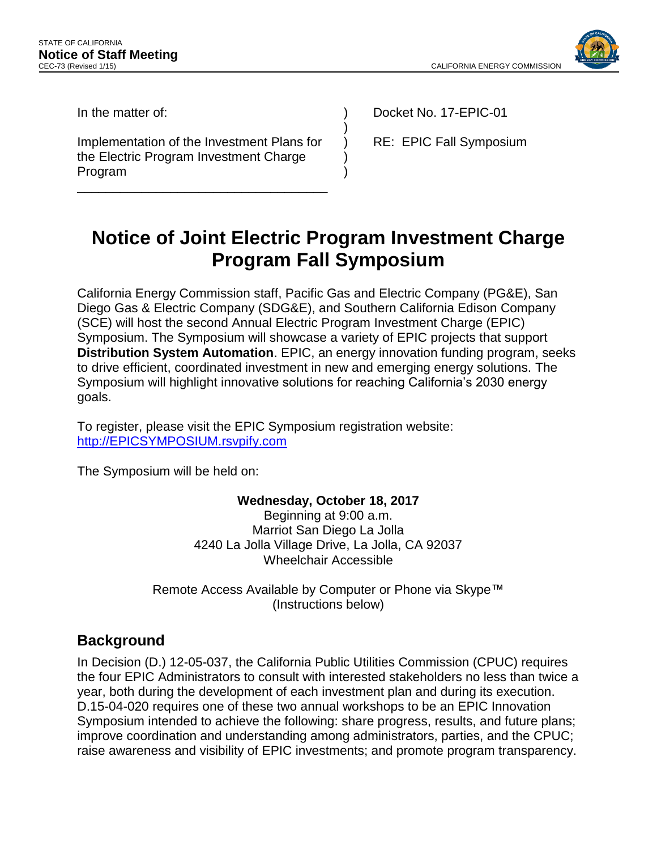

In the matter of:

Implementation of the Investment Plans for the Electric Program Investment Charge Program

\_\_\_\_\_\_\_\_\_\_\_\_\_\_\_\_\_\_\_\_\_\_\_\_\_\_\_\_\_\_\_\_\_\_\_

Docket No. 17-EPIC-01

RE: EPIC Fall Symposium

# **Notice of Joint Electric Program Investment Charge Program Fall Symposium**

) ) ) ) )

California Energy Commission staff, Pacific Gas and Electric Company (PG&E), San Diego Gas & Electric Company (SDG&E), and Southern California Edison Company (SCE) will host the second Annual Electric Program Investment Charge (EPIC) Symposium. The Symposium will showcase a variety of EPIC projects that support **Distribution System Automation**. EPIC, an energy innovation funding program, seeks to drive efficient, coordinated investment in new and emerging energy solutions. The Symposium will highlight innovative solutions for reaching California's 2030 energy goals.

To register, please visit the EPIC Symposium registration website: [http://EPICSYMPOSIUM.rsvpify.com](http://epicsymposium.rsvpify.com/)

The Symposium will be held on:

#### **Wednesday, October 18, 2017**

Beginning at 9:00 a.m. Marriot San Diego La Jolla 4240 La Jolla Village Drive, La Jolla, CA 92037 Wheelchair Accessible

Remote Access Available by Computer or Phone via Skype™ (Instructions below)

### **Background**

In Decision (D.) 12-05-037, the California Public Utilities Commission (CPUC) requires the four EPIC Administrators to consult with interested stakeholders no less than twice a year, both during the development of each investment plan and during its execution. D.15-04-020 requires one of these two annual workshops to be an EPIC Innovation Symposium intended to achieve the following: share progress, results, and future plans; improve coordination and understanding among administrators, parties, and the CPUC; raise awareness and visibility of EPIC investments; and promote program transparency.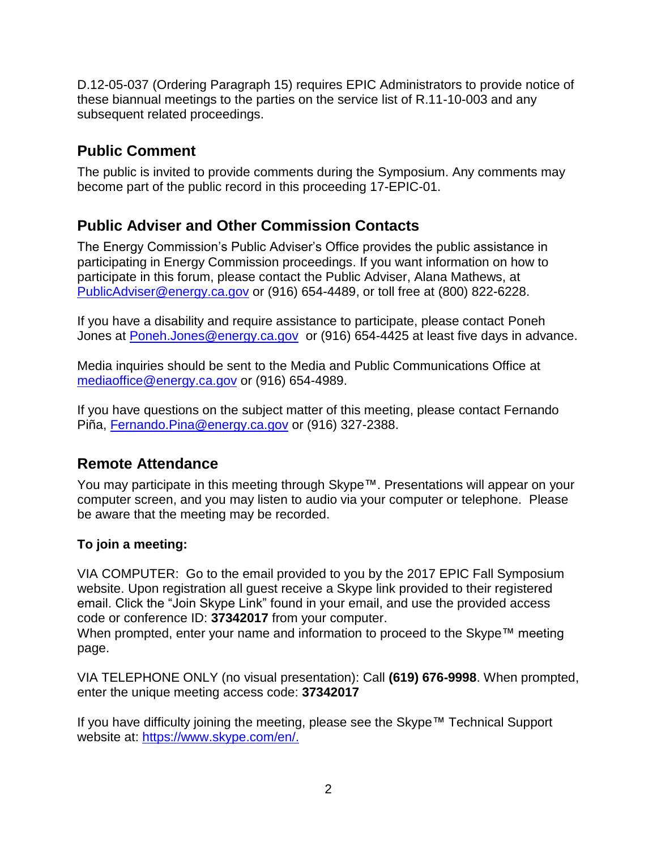D.12-05-037 (Ordering Paragraph 15) requires EPIC Administrators to provide notice of these biannual meetings to the parties on the service list of R.11-10-003 and any subsequent related proceedings.

## **Public Comment**

The public is invited to provide comments during the Symposium. Any comments may become part of the public record in this proceeding 17-EPIC-01.

## **Public Adviser and Other Commission Contacts**

The Energy Commission's Public Adviser's Office provides the public assistance in participating in Energy Commission proceedings. If you want information on how to participate in this forum, please contact the Public Adviser, Alana Mathews, at [PublicAdviser@energy.ca.gov](mailto:PublicAdviser@energy.ca.gov) or (916) 654-4489, or toll free at (800) 822-6228.

If you have a disability and require assistance to participate, please contact Poneh Jones at [Poneh.Jones@energy.ca.gov](mailto:Poneh.Jones@energy.ca.gov) or (916) 654-4425 at least five days in advance.

Media inquiries should be sent to the Media and Public Communications Office at [mediaoffice@energy.ca.gov](mailto:mediaoffice@energy.ca.gov) or (916) 654-4989.

If you have questions on the subject matter of this meeting, please contact Fernando Piña, [Fernando.Pina@energy.ca.gov](mailto:Fernando.Pina@energy.ca.gov) or (916) 327-2388.

### **Remote Attendance**

You may participate in this meeting through Skype™. Presentations will appear on your computer screen, and you may listen to audio via your computer or telephone. Please be aware that the meeting may be recorded.

### **To join a meeting:**

VIA COMPUTER: Go to the email provided to you by the 2017 EPIC Fall Symposium website. Upon registration all guest receive a Skype link provided to their registered email. Click the "Join Skype Link" found in your email, and use the provided access code or conference ID: **37342017** from your computer.

When prompted, enter your name and information to proceed to the Skype™ meeting page.

VIA TELEPHONE ONLY (no visual presentation): Call **(619) 676-9998**. When prompted, enter the unique meeting access code: **37342017** 

If you have difficulty joining the meeting, please see the Skype™ Technical Support website at: [https://www.skype.com/en/.](https://www.skype.com/en/)